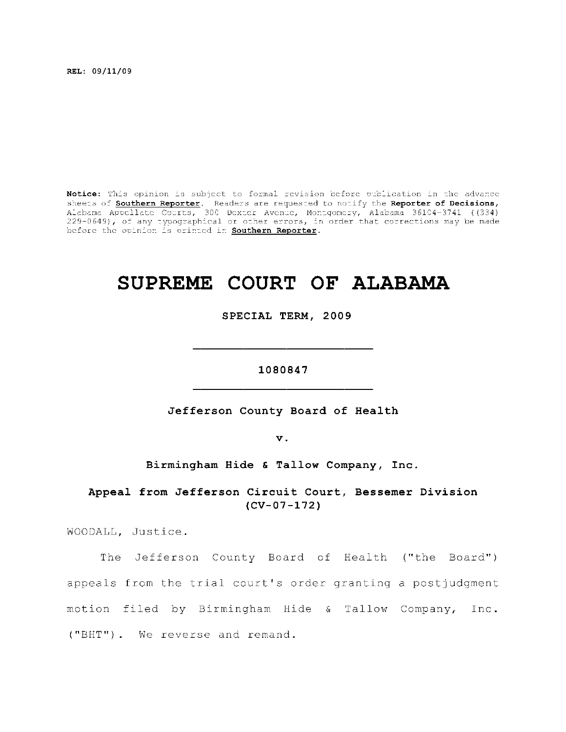**REL: 09/11/09** 

Notice: This opinion is subject to formal revision before publication in the advance sheets of **Southern Reporter**. Readers are requested to notify the Reporter of Decisions, Alabama Appellat e Courts , 300 Dexte r Avenue, Montgomery, Alabama 36104-3741 ((334) 229-0649), of any typographical or other errors, in order that corrections may be made before the opinion is printed in **Southern Reporter**.

## **SUPREME COURT OF ALABAMA**

SPECIAL TERM, 2009

1080847

Jefferson County Board of Health

**1080847** 

 $\mathbf v$ .

Birmingham Hide & Tallow Company, Inc.

Appeal from Jefferson Circuit Court, Bessemer Division **Appeal from Jefferso n Circui t Court, Bessemer Divisio n** 

WOODALL, Justice.

The Jefferson County Board of Health ("the Board") appeals from the trial court's order granting a postjudgment motion filed by Birmingham Hide & Tallow Company, Inc. ("BHT"). We reverse and remand.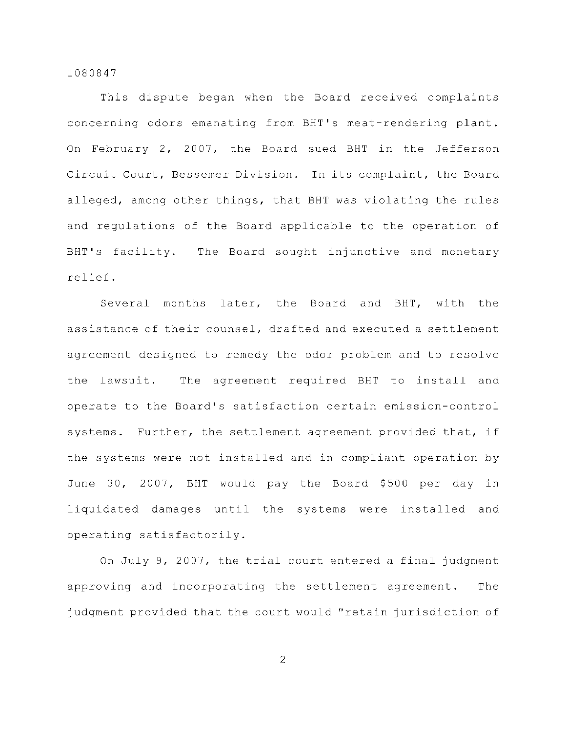This dispute began when the Board received complaints concerning odors emanating from BHT's meat-rendering plant. On February 2, 2007, the Board sued BHT in the Jefferson Circuit Court, Bessemer Division. In its complaint, the Board alleged, among other things, that BHT was violating the rules and regulations of the Board applicable to the operation of BHT's facility. The Board sought injunctive and monetary relief .

Several months later, the Board and BHT, with the assistance of their counsel, drafted and executed a settlement agreement designed to remedy the odor problem and to resolve the lawsuit. The agreement required BHT to install and operate to the Board's satisfaction certain emission-control systems. Further, the settlement agreement provided that, if the systems were not installed and in compliant operation by June 30, 2007, BHT would pay the Board \$500 per day in liquidated damages until the systems were installed and operating satisfactorily.

On July 9, 2007, the trial court entered a final judgment approving and incorporating the settlement agreement. The judgment provided that the court would "retain jurisdiction of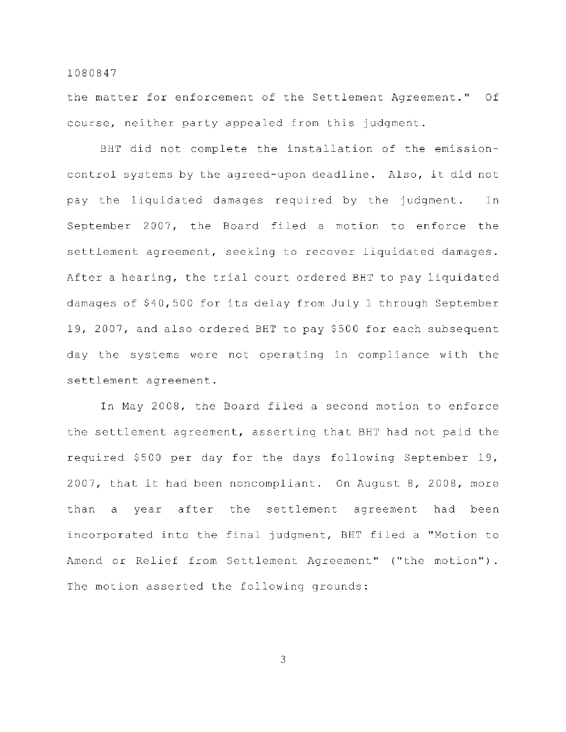the matter for enforcement of the Settlement Agreement." Of course, neither party appealed from this judgment.

BHT did not complete the installation of the emissioncontrol systems by the agreed-upon deadline. Also, it did not pay the liquidated damages required by the judgment. In September 2007, the Board filed a motion to enforce the settlement agreement, seeking to recover liquidated damages. After a hearing, the trial court ordered BHT to pay liquidated damages of \$40,500 for its delay from July 1 through September 19, 2007, and also ordered BHT to pay \$500 for each subsequent day the systems were not operating in compliance with the settlement agreement.

In May 2008, the Board filed a second motion to enforce the settlement agreement, asserting that BHT had not paid the required \$500 per day for the days following September 19, 2007, that it had been noncompliant. On August 8, 2008, more than a year after the settlement agreement had been incorporated into the final judgment, BHT filed a "Motion to Amend or Relief from Settlement Agreement" ("the motion"). The motion asserted the following grounds: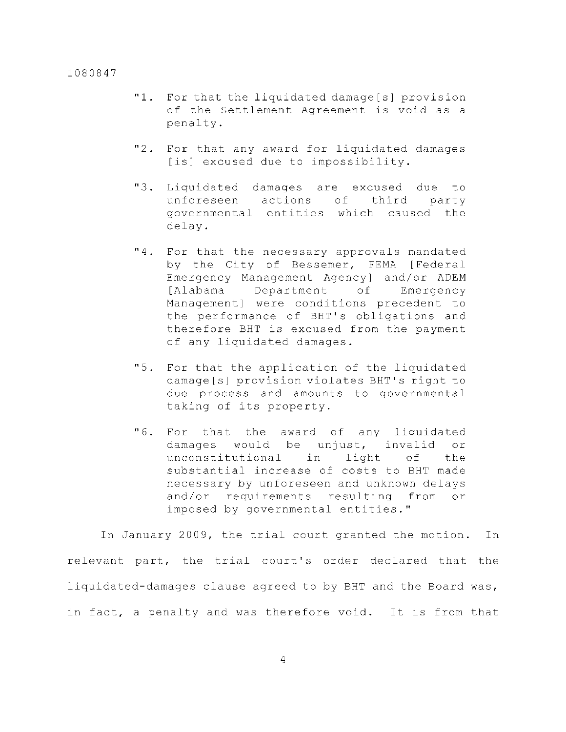- "1. For that the liquidated damage[s] provision of the Settlement Agreement is void as a penalty.
- $"2$ . For that any award for liquidated damages [is] excused due to impossibility.
- "3. Liquidated damages are excused due to unforeseen actions of third party governmental entities which caused the delay .
- $"4.$ For that the necessary approvals mandated by the City of Bessemer, FEMA [Federal Emergency Management Agency] and/or ADEM [Alabama Department of Emergency Management] were conditions precedent to the performance of BHT's obligations and therefore BHT is excused from the payment of any liquidated damages.
- $"5.$ For that the application of the liquidated damage[s] provision violates BHT's right to due process and amounts to governmental taking of its property.
- $"6.$ For that the award of any liquidated damages would be unjust, invalid or unconstitutional in light of the substantial increase of costs to BHT made necessary by unforeseen and unknown delays and/or requirements resulting from or imposed by governmental entities."

In January 2009, the trial court granted the motion. In relevant part, the trial court's order declared that the liquidated-damages clause agreed to by BHT and the Board was, in fact, a penalty and was therefore void. It is from that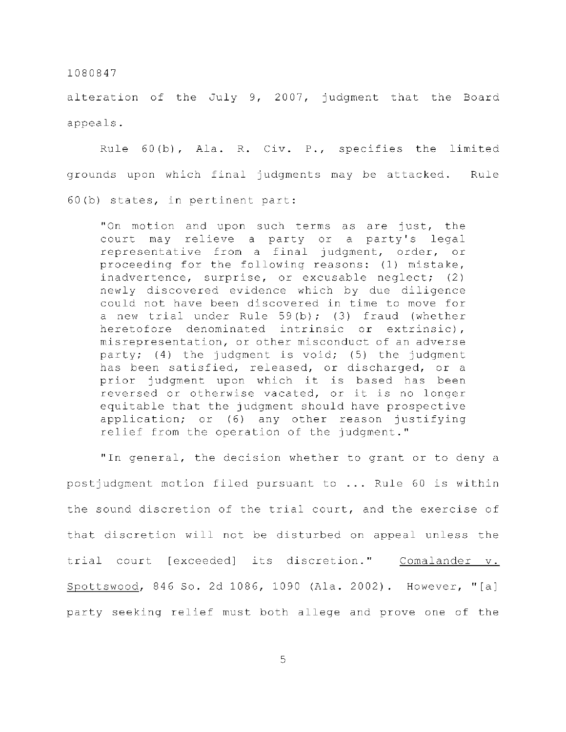alteration of the July 9, 2007, judgment that the Board appeals .

Rule  $60(b)$ , Ala. R. Civ. P., specifies the limited grounds upon which final judgments may be attacked. Rule  $60(b)$  states, in pertinent part:

"On motion and upon such terms as are just, the court may relieve a party or a party's legal representative from a final judgment, order, or proceeding for the following reasons: (1) mistake, inadvertence, surprise, or excusable neglect; (2) newly discovered evidence which by due diligence could not have been discovered in time to move for a new trial under Rule  $59(b)$ ; (3) fraud (whether heretofore denominated intrinsic or extrinsic), misrepresentation, or other misconduct of an adverse party; (4) the judgment is void; (5) the judgment has been satisfied, released, or discharged, or a prior judgment upon which it is based has been reversed or otherwise vacated, or it is no longer equitable that the judgment should have prospective application; or  $(6)$  any other reason justifying relief from the operation of the judgment."

" In general, the decision whether to grant or to deny a postjudgment motion filed pursuant to ... Rule 60 is within the sound discretion of the trial court, and the exercise of that discretion will not be disturbed on appeal unless the trial court [exceeded] its discretion." Comalander v. Spottswood, 846 So. 2d 1086, 1090 (Ala. 2002). However, "[a] party seeking relief must both allege and prove one of the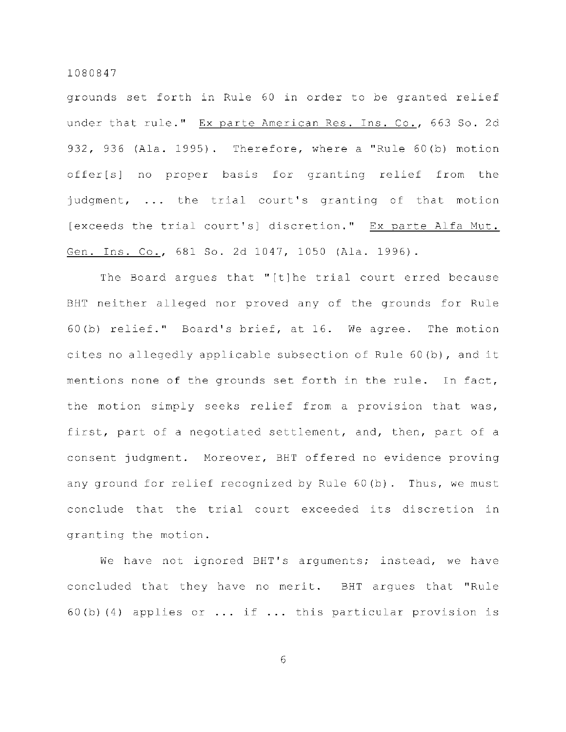grounds set forth in Rule 60 in order to be granted relief under that rule." Ex parte American Res. Ins. Co., 663 So. 2d 932, 936 (Ala. 1995). Therefore, where a "Rule  $60(b)$  motion offer[s] no proper basis for granting relief from the judgment,  $\ldots$  the trial court's granting of that motion [exceeds the trial court's] discretion." Ex parte Alfa Mut. Gen. Ins. Co., 681 So. 2d 1047, 1050 (Ala. 1996).

The Board arques that "[t]he trial court erred because BHT neither alleged nor proved any of the grounds for Rule 60(b) relief." Board's brief, at  $16$ . We agree. The motion cites no allegedly applicable subsection of Rule  $60(b)$ , and it mentions none of the grounds set forth in the rule. In fact, the motion simply seeks relief from a provision that was, first, part of a negotiated settlement, and, then, part of a consent judgment. Moreover, BHT offered no evidence proving any ground for relief recognized by Rule 60(b). Thus, we must conclude that the trial court exceeded its discretion in granting the motion.

We have not ignored BHT's arguments; instead, we have concluded that they have no merit. BHT argues that "Rule 60(b)(4) applies or  $\ldots$  if  $\ldots$  this particular provision is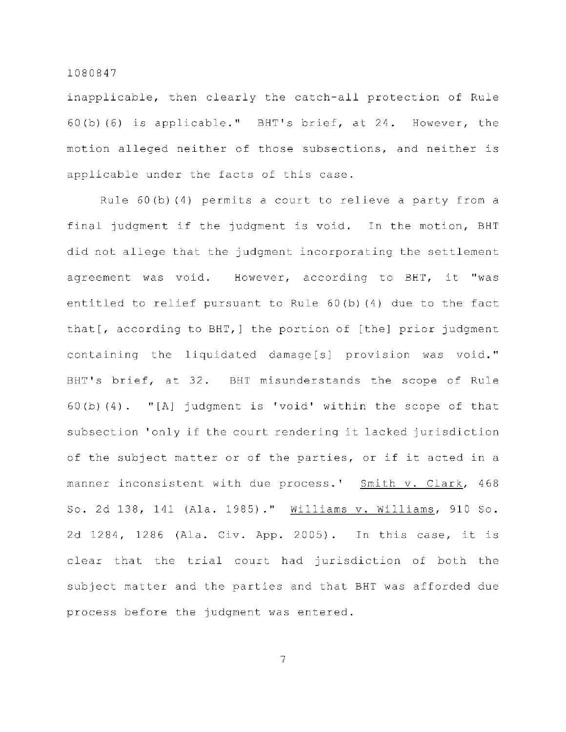inapplicable, then clearly the catch-all protection of Rule  $60(b)$  (6) is applicable." BHT's brief, at 24. However, the motion alleged neither of those subsections, and neither is applicable under the facts of this case.

Rule 60(b)(4) permits a court to relieve a party from a final judgment if the judgment is void. In the motion, BHT did not allege that the judgment incorporating the settlement agreement was void. However, according to BHT, it "was entitled to relief pursuant to Rule  $60(b)$  (4) due to the fact that [, according to BHT, ] the portion of [the] prior judgment containing the liquidated damage[s] provision was void." BHT's brief, at 32. BHT misunderstands the scope of Rule 60(b)(4). "[A] judgment is 'void' within the scope of that subsection 'only if the court rendering it lacked jurisdiction of the subject matter or of the parties, or if it acted in a manner inconsistent with due process.' Smith v. Clark, 468 So. 2d 138, 141 (Ala. 1985)." Williams v. Williams, 910 So. 2d 1284, 1286 (Ala. Civ. App. 2005). In this case, it is clear that the trial court had jurisdiction of both the subject matter and the parties and that BHT was afforded due process before the judgment was entered.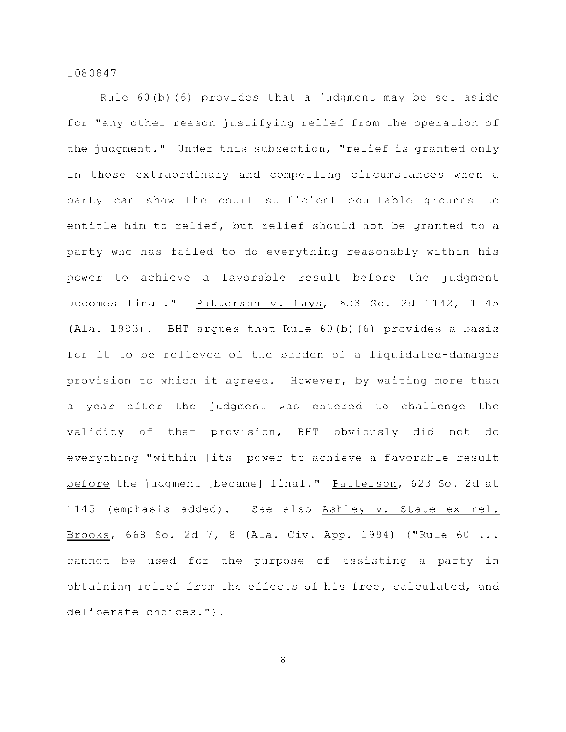Rule  $60(b)(6)$  provides that a judgment may be set aside for "any other reason justifying relief from the operation of the judgment." Under this subsection, "relief is granted only in those extraordinary and compelling circumstances when a party can show the court sufficient equitable grounds to entitle him to relief, but relief should not be granted to a party who has failed to do everything reasonably within his power to achieve a favorable result before the judgment becomes final." Patterson v. Hays,  $623$  So. 2d 1142, 1145 (Ala. 1993). BHT argues that Rule  $60$ (b)(6) provides a basis for it to be relieved of the burden of a liquidated-damages provision to which it agreed. However, by waiting more than a year after the judgment was entered to challenge the validity of that provision, BHT obviously did not do everything "within [its] power to achieve a favorable result before the judgment [became] final." Patterson, 623 So. 2d at 1145 (emphasis added). See also Ashley v. State ex rel. Brooks, 668 So. 2d 7, 8 (Ala. Civ. App. 1994) ("Rule 60 ... cannot be used for the purpose of assisting a party in obtaining relief from the effects of his free, calculated, and deliberate choices.").